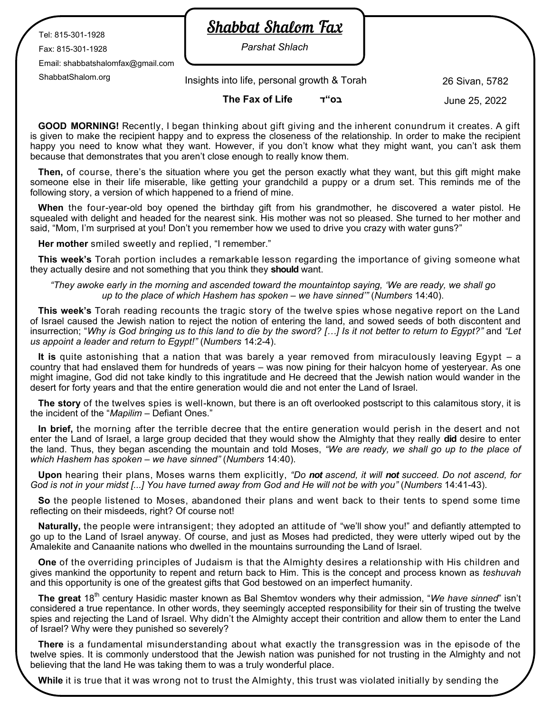Tel: 815-301-1928

Fax: 815-301-1928

Email: shabbatshalomfax@gmail.com

**Shabbat Shalom Fax** 

*Parshat Shlach*

ShabbatShalom.org 26 Sivan, 5782 Insights into life, personal growth & Torah

**The Fax of Life ד"בס**

June 25, 2022

**GOOD MORNING!** Recently, I began thinking about gift giving and the inherent conundrum it creates. A gift is given to make the recipient happy and to express the closeness of the relationship. In order to make the recipient happy you need to know what they want. However, if you don't know what they might want, you can't ask them because that demonstrates that you aren't close enough to really know them.

**Then,** of course, there's the situation where you get the person exactly what they want, but this gift might make someone else in their life miserable, like getting your grandchild a puppy or a drum set. This reminds me of the following story, a version of which happened to a friend of mine.

**When** the four-year-old boy opened the birthday gift from his grandmother, he discovered a water pistol. He squealed with delight and headed for the nearest sink. His mother was not so pleased. She turned to her mother and said, "Mom, I'm surprised at you! Don't you remember how we used to drive you crazy with water guns?"

**Her mother** smiled sweetly and replied, "I remember."

**This week's** Torah portion includes a remarkable lesson regarding the importance of giving someone what they actually desire and not something that you think they **should** want.

*"They awoke early in the morning and ascended toward the mountaintop saying, 'We are ready, we shall go up to the place of which Hashem has spoken – we have sinned'"* (*Numbers* 14:40).

**This week's** Torah reading recounts the tragic story of the twelve spies whose negative report on the Land of Israel caused the Jewish nation to reject the notion of entering the land, and sowed seeds of both discontent and insurrection; "*Why is God bringing us to this land to die by the sword? […] Is it not better to return to Egypt?"* and *"Let us appoint a leader and return to Egypt!"* (*Numbers* 14:2-4).

**It is** quite astonishing that a nation that was barely a year removed from miraculously leaving Egypt – a country that had enslaved them for hundreds of years – was now pining for their halcyon home of yesteryear. As one might imagine, God did not take kindly to this ingratitude and He decreed that the Jewish nation would wander in the desert for forty years and that the entire generation would die and not enter the Land of Israel.

**The story** of the twelves spies is well-known, but there is an oft overlooked postscript to this calamitous story, it is the incident of the "*Mapilim* – Defiant Ones."

**In brief,** the morning after the terrible decree that the entire generation would perish in the desert and not enter the Land of Israel, a large group decided that they would show the Almighty that they really **did** desire to enter the land. Thus, they began ascending the mountain and told Moses, *"We are ready, we shall go up to the place of which Hashem has spoken – we have sinned"* (*Numbers* 14:40).

**Upon** hearing their plans, Moses warns them explicitly, *"Do not ascend, it will not succeed. Do not ascend, for God is not in your midst [...] You have turned away from God and He will not be with you"* (*Numbers* 14:41-43).

**So** the people listened to Moses, abandoned their plans and went back to their tents to spend some time reflecting on their misdeeds, right? Of course not!

**Naturally,** the people were intransigent; they adopted an attitude of "we'll show you!" and defiantly attempted to go up to the Land of Israel anyway. Of course, and just as Moses had predicted, they were utterly wiped out by the Amalekite and Canaanite nations who dwelled in the mountains surrounding the Land of Israel.

**One** of the overriding principles of Judaism is that the Almighty desires a relationship with His children and gives mankind the opportunity to repent and return back to Him. This is the concept and process known as *teshuvah*  and this opportunity is one of the greatest gifts that God bestowed on an imperfect humanity.

**The great** 18th century Hasidic master known as Bal Shemtov wonders why their admission, "*We have sinned*" isn't considered a true repentance. In other words, they seemingly accepted responsibility for their sin of trusting the twelve spies and rejecting the Land of Israel. Why didn't the Almighty accept their contrition and allow them to enter the Land of Israel? Why were they punished so severely?

**There** is a fundamental misunderstanding about what exactly the transgression was in the episode of the twelve spies. It is commonly understood that the Jewish nation was punished for not trusting in the Almighty and not believing that the land He was taking them to was a truly wonderful place.

**While** it is true that it was wrong not to trust the Almighty, this trust was violated initially by sending the